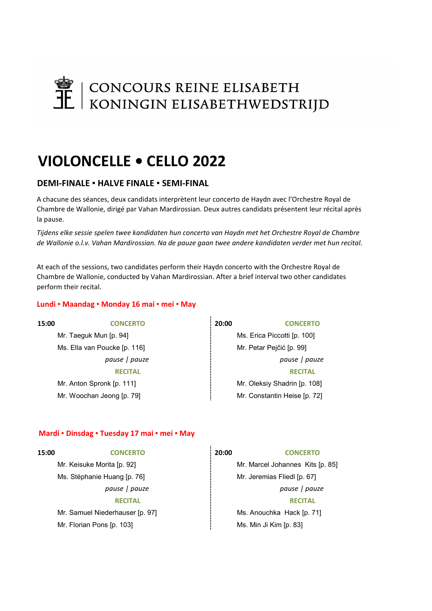# CONCOURS REINE ELISABETH<br>
IL | KONINGIN ELISABETHWEDSTRIJD

## VIOLONCELLE • CELLO 2022

## DEMI-FINALE · HALVE FINALE · SEMI-FINAL

A chacune des séances, deux candidats interprètent leur concerto de Haydn avec l'Orchestre Royal de Chambre de Wallonie, dirigé par Vahan Mardirossian. Deux autres candidats présentent leur récital après la pause.

Tijdens elke sessie spelen twee kandidaten hun concerto van Haydn met het Orchestre Royal de Chambre de Wallonie o.l.v. Vahan Mardirossian. Na de pauze gaan twee andere kandidaten verder met hun recital.

At each of the sessions, two candidates perform their Haydn concerto with the Orchestre Royal de Chambre de Wallonie, conducted by Vahan Mardirossian. After a brief interval two other candidates perform their recital.

## Lundi • Maandag • Monday 16 mai • mei • May

Mr. Taeguk Mun [p. 94] Ms. Erica Piccotti [p. 100] Ms. Ella van Poucke [p. 116] Mr. Petar Pejčić [p. 99]

15:00 CONCERTO 20:00 CONCERTO

pause | pauze | pause | pause | pauze | pauze | pauze | pauze | pauze | pauze | pauze | pauze | pauze | pauze | pauze | pauze | pauze | pauze | pauze | pauze | pauze | pauze | pauze | pauze | pauze | pauze | pauze | pauze RECITAL **RECITAL** Mr. Anton Spronk [p. 111] Mr. Oleksiy Shadrin [p. 108] Mr. Woochan Jeong [p. 79] Mr. Constantin Heise [p. 72]

## Mardi ▪ Dinsdag ▪ Tuesday 17 mai ▪ mei ▪ May

| 15:00 | <b>CONCERTO</b>                 | 20:00 | <b>CONCERTO</b>                  |
|-------|---------------------------------|-------|----------------------------------|
|       | Mr. Keisuke Morita [p. 92]      |       | Mr. Marcel Johannes Kits [p. 85] |
|       | Ms. Stéphanie Huang [p. 76]     |       | Mr. Jeremias Fliedl [p. 67]      |
|       | pause   pauze                   |       | pause   pauze                    |
|       | <b>RECITAL</b>                  |       | <b>RECITAL</b>                   |
|       | Mr. Samuel Niederhauser [p. 97] |       | Ms. Anouchka Hack [p. 71]        |
|       | Mr. Florian Pons [p. 103]       |       | Ms. Min Ji Kim [p. 83]           |